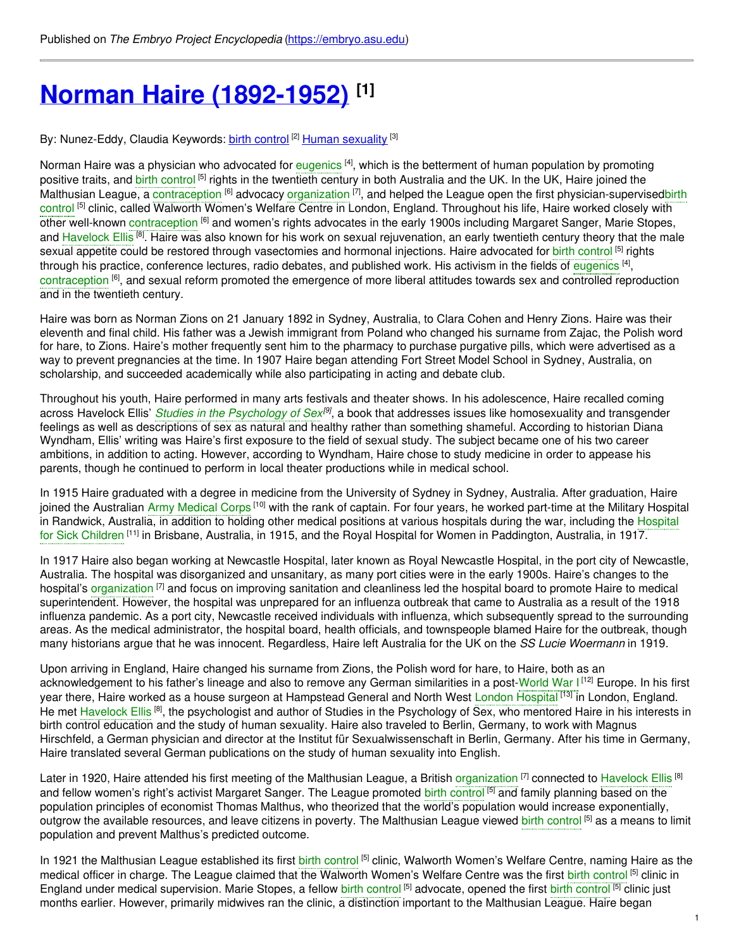# **Norman Haire [\(1892-1952\)](https://embryo.asu.edu/pages/norman-haire-1892-1952) [1]**

By: Nunez-Eddy, Claudia Keywords: <u>birth [control](https://embryo.asu.edu/keywords/birth-control)</u> <sup>[2]</sup> <u>Human [sexuality](https://embryo.asu.edu/keywords/human-sexuality)</u> <sup>[3]</sup>

Norman Haire was a physician who advocated for [eugenics](https://embryo.asu.edu/search?text=eugenics) <sup>[4]</sup>, which is the betterment of human population by promoting positive traits, and birth [control](https://embryo.asu.edu/search?text=birth%20control) <sup>[5]</sup> rights in the twentieth century in both Australia and the UK. In the UK, Haire joined the Malthusian League, a [contraception](https://embryo.asu.edu/search?text=contraception) <sup>[6]</sup> advocacy [organization](https://embryo.asu.edu/search?text=organization) <sup>[7]</sup>, and helped the League open the first [physician-supervisedbirth](https://embryo.asu.edu/search?text=birth%20control) control <sup>[5]</sup> clinic, called Walworth Women's Welfare Centre in London, England. Throughout his life, Haire worked closely with other well-known [contraception](https://embryo.asu.edu/search?text=contraception) <sup>[6]</sup> and women's rights advocates in the early 1900s including Margaret Sanger, Marie Stopes, and [Havelock](https://embryo.asu.edu/search?text=Havelock%20Ellis) Ellis <sup>[8]</sup>. Haire was also known for his work on sexual rejuvenation, an early twentieth century theory that the male sexual appetite could be restored through vasectomies and hormonal injections. Haire advocated for birth [control](https://embryo.asu.edu/search?text=birth%20control) <sup>[5]</sup> rights through his practice, conference lectures, radio debates, and published work. His activism in the fields of [eugenics](https://embryo.asu.edu/search?text=eugenics) <sup>[4]</sup>, [contraception](https://embryo.asu.edu/search?text=contraception) <sup>[6]</sup>, and sexual reform promoted the emergence of more liberal attitudes towards sex and controlled reproduction and in the twentieth century.

Haire was born as Norman Zions on 21 January 1892 in Sydney, Australia, to Clara Cohen and Henry Zions. Haire was their eleventh and final child. His father was a Jewish immigrant from Poland who changed his surname from Zajac, the Polish word for hare, to Zions. Haire's mother frequently sent him to the pharmacy to purchase purgative pills, which were advertised as a way to prevent pregnancies at the time. In 1907 Haire began attending Fort Street Model School in Sydney, Australia, on scholarship, and succeeded academically while also participating in acting and debate club.

Throughout his youth, Haire performed in many arts festivals and theater shows. In his adolescence, Haire recalled coming across Havelock Ellis' *Studies in the [Psychology](https://embryo.asu.edu/search?text=Studies%20in%20the%20Psychology%20of%20Sex) of Sex [9]* , a book that addresses issues like homosexuality and transgender feelings as well as descriptions of sex as natural and healthy rather than something shameful. According to historian Diana Wyndham, Ellis' writing was Haire's first exposure to the field of sexual study. The subject became one of his two career ambitions, in addition to acting. However, according to Wyndham, Haire chose to study medicine in order to appease his parents, though he continued to perform in local theater productions while in medical school.

In 1915 Haire graduated with a degree in medicine from the University of Sydney in Sydney, Australia. After graduation, Haire joined the Australian Army [Medical](https://embryo.asu.edu/search?text=Army%20Medical%20Corps) Corps <sup>[10]</sup> with the rank of captain. For four years, he worked part-time at the Military Hospital in Randwick, Australia, in addition to holding other medical positions at various hospitals during the war, including the Hospital for Sick Children <sup>[11]</sup> in Brisbane, Australia, in 1915, and the Royal Hospital for Women in [Paddington,](https://embryo.asu.edu/search?text=Hospital%20for%20Sick%20Children) Australia, in 1917.

In 1917 Haire also began working at Newcastle Hospital, later known as Royal Newcastle Hospital, in the port city of Newcastle, Australia. The hospital was disorganized and unsanitary, as many port cities were in the early 1900s. Haire's changes to the hospital's [organization](https://embryo.asu.edu/search?text=organization) <sup>[7]</sup> and focus on improving sanitation and cleanliness led the hospital board to promote Haire to medical superintendent. However, the hospital was unprepared for an influenza outbreak that came to Australia as a result of the 1918 influenza pandemic. As a port city, Newcastle received individuals with influenza, which subsequently spread to the surrounding areas. As the medical administrator, the hospital board, health officials, and townspeople blamed Haire for the outbreak, though many historians argue that he was innocent. Regardless, Haire left Australia for the UK on the *SS Lucie Woermann* in 1919.

Upon arriving in England, Haire changed his surname from Zions, the Polish word for hare, to Haire, both as an acknowledgement to his father's lineage and also to remove any German similarities in a post-[World](https://embryo.asu.edu/search?text=World%20War%20I) War I<sup>[12]</sup> Europe. In his first year there, Haire worked as a house surgeon at Hampstead General and North West London [Hospital](https://embryo.asu.edu/search?text=London%20Hospital) <sup>[13]</sup> in London, England. He met [Havelock](https://embryo.asu.edu/search?text=Havelock%20Ellis) Ellis<sup>[8]</sup>, the psychologist and author of Studies in the Psychology of Sex, who mentored Haire in his interests in birth control education and the study of human sexuality. Haire also traveled to Berlin, Germany, to work with Magnus Hirschfeld, a German physician and director at the Institut für Sexualwissenschaft in Berlin, Germany. After his time in Germany, Haire translated several German publications on the study of human sexuality into English.

Later in 1920, Haire attended his first meeting of the Malthusian League, a British [organization](https://embryo.asu.edu/search?text=organization) <sup>[7]</sup> connected to [Havelock](https://embryo.asu.edu/search?text=Havelock%20Ellis) Ellis <sup>[8]</sup> and fellow women's right's activist Margaret Sanger. The League promoted birth [control](https://embryo.asu.edu/search?text=birth%20control) <sup>[5]</sup> and family planning based on the population principles of economist Thomas Malthus, who theorized that the world's population would increase exponentially, outgrow the available resources, and leave citizens in poverty. The Malthusian League viewed b<mark>irth [control](https://embryo.asu.edu/search?text=birth%20control) <sup>[5]</sup> as a means to limit</mark> population and prevent Malthus's predicted outcome.

In 1921 the Malthusian League established its first birth [control](https://embryo.asu.edu/search?text=birth%20control) <sup>[5]</sup> clinic, Walworth Women's Welfare Centre, naming Haire as the medical officer in charge. The League claimed that the Walworth Women's Welfare Centre was the first birth [control](https://embryo.asu.edu/search?text=birth%20control) <sup>[5]</sup> clinic in England under medical supervision. Marie Stopes, a fellow birth [control](https://embryo.asu.edu/search?text=birth%20control) <sup>[5]</sup> advocate, opened the first birth control <sup>[5]</sup> clinic just months earlier. However, primarily midwives ran the clinic, a distinction important to the Malthusian League. Haire began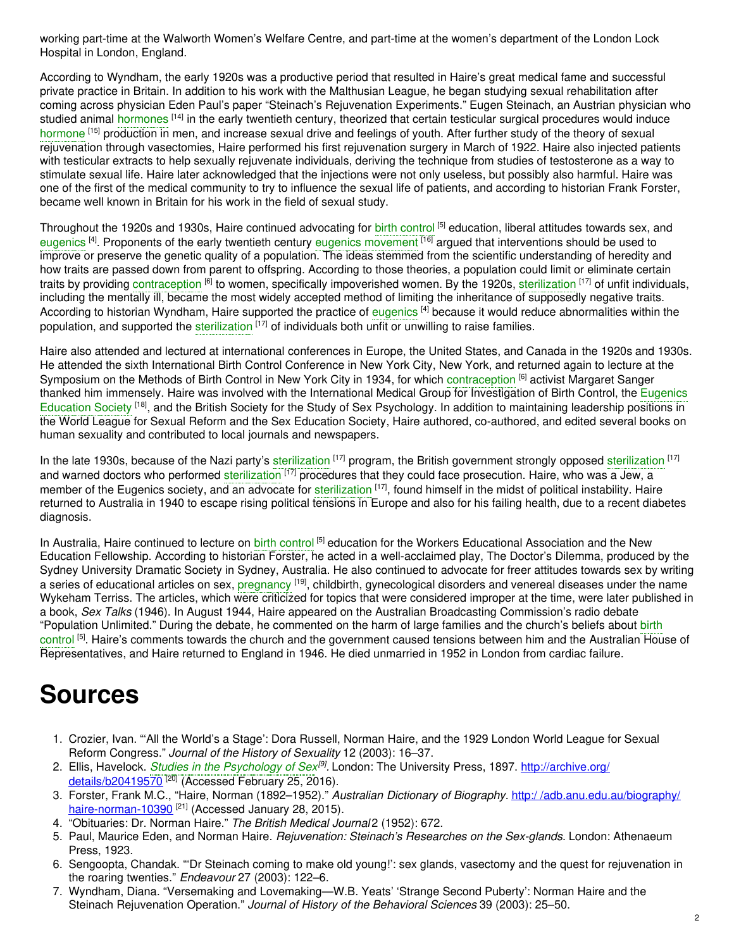working part-time at the Walworth Women's Welfare Centre, and part-time at the women's department of the London Lock Hospital in London, England.

According to Wyndham, the early 1920s was a productive period that resulted in Haire's great medical fame and successful private practice in Britain. In addition to his work with the Malthusian League, he began studying sexual rehabilitation after coming across physician Eden Paul's paper "Steinach's Rejuvenation Experiments." Eugen Steinach, an Austrian physician who studied animal [hormones](https://embryo.asu.edu/search?text=hormones) <sup>[14]</sup> in the early twentieth century, theorized that certain testicular surgical procedures would induce [hormone](https://embryo.asu.edu/search?text=hormone) <sup>[15]</sup> production in men, and increase sexual drive and feelings of youth. After further study of the theory of sexual rejuvenation through vasectomies, Haire performed his first rejuvenation surgery in March of 1922. Haire also injected patients with testicular extracts to help sexually rejuvenate individuals, deriving the technique from studies of testosterone as a way to stimulate sexual life. Haire later acknowledged that the injections were not only useless, but possibly also harmful. Haire was one of the first of the medical community to try to influence the sexual life of patients, and according to historian Frank Forster, became well known in Britain for his work in the field of sexual study.

Throughout the 1920s and 1930s, Haire continued advocating for birth [control](https://embryo.asu.edu/search?text=birth%20control) <sup>[5]</sup> education, liberal attitudes towards sex, and [eugenics](https://embryo.asu.edu/search?text=eugenics) <sup>[4]</sup>. Proponents of the early twentieth century eugenics [movement](https://embryo.asu.edu/search?text=eugenics%20movement) <sup>[16]</sup> argued that interventions should be used to improve or preserve the genetic quality of a population. The ideas stemmed from the scientific understanding of heredity and how traits are passed down from parent to offspring. According to those theories, a population could limit or eliminate certain traits by providing [contraception](https://embryo.asu.edu/search?text=contraception) <sup>[6]</sup> to women, specifically impoverished women. By the 1920s, [sterilization](https://embryo.asu.edu/search?text=sterilization) <sup>[17]</sup> of unfit individuals, including the mentally ill, became the most widely accepted method of limiting the inheritance of supposedly negative traits. According to historian Wyndham, Haire supported the practice of [eugenics](https://embryo.asu.edu/search?text=eugenics) [4] because it would reduce abnormalities within the population, and supported the [sterilization](https://embryo.asu.edu/search?text=sterilization) <sup>[17]</sup> of individuals both unfit or unwilling to raise families.

Haire also attended and lectured at international conferences in Europe, the United States, and Canada in the 1920s and 1930s. He attended the sixth International Birth Control Conference in New York City, New York, and returned again to lecture at the Symposium on the Methods of Birth Control in New York City in 1934, for which [contraception](https://embryo.asu.edu/search?text=contraception) <sup>[6]</sup> activist Margaret Sanger thanked him immensely. Haire was involved with the International Medical Group for [Investigation](https://embryo.asu.edu/search?text=Eugenics%20Education%20Society) of Birth Control, the Eugenics Education Society <sup>[18]</sup>, and the British Society for the Study of Sex Psychology. In addition to maintaining leadership positions in the World League for Sexual Reform and the Sex Education Society, Haire authored, co-authored, and edited several books on human sexuality and contributed to local journals and newspapers.

In the late 1930s, because of the Nazi party's [sterilization](https://embryo.asu.edu/search?text=sterilization) <sup>[17]</sup> program, the British government strongly opposed sterilization <sup>[17]</sup> and warned doctors who performed [sterilization](https://embryo.asu.edu/search?text=sterilization) <sup>[17]</sup> procedures that they could face prosecution. Haire, who was a Jew, a member of the Eugenics society, and an advocate for [sterilization](https://embryo.asu.edu/search?text=sterilization) <sup>[17]</sup>, found himself in the midst of political instability. Haire returned to Australia in 1940 to escape rising political tensions in Europe and also for his failing health, due to a recent diabetes diagnosis.

In Australia, Haire continued to lecture on birth [control](https://embryo.asu.edu/search?text=birth%20control) <sup>[5]</sup> education for the Workers Educational Association and the New Education Fellowship. According to historian Forster, he acted in a well-acclaimed play, The Doctor's Dilemma, produced by the Sydney University Dramatic Society in Sydney, Australia. He also continued to advocate for freer attitudes towards sex by writing a series of educational articles on sex, [pregnancy](https://embryo.asu.edu/search?text=pregnancy) <sup>[19]</sup>, childbirth, gynecological disorders and venereal diseases under the name Wykeham Terriss. The articles, which were criticized for topics that were considered improper at the time, were later published in a book, *Sex Talks* (1946). In August 1944, Haire appeared on the Australian Broadcasting Commission's radio debate "Population Unlimited." During the debate, he commented on the harm of large families and the church's beliefs about birth control <sup>[5]</sup>. Haire's comments towards the church and the [government](https://embryo.asu.edu/search?text=birth%20control) caused tensions between him and the Australian House of Representatives, and Haire returned to England in 1946. He died unmarried in 1952 in London from cardiac failure.

## **Sources**

- 1. Crozier, Ivan. "'All the World's a Stage': Dora Russell, Norman Haire, and the 1929 London World League for Sexual Reform Congress." *Journal of the History of Sexuality* 12 (2003): 16–37.
- 2. Ellis, Havelock. *Studies in the [Psychology](https://embryo.asu.edu/search?text=Studies%20in%20the%20Psychology%20of%20Sex) of Sex [9] .* London: The University Press, 1897. http://archive.org/ [details/b20419570](http://archive.org/details/b20419570)<sup>[20]</sup> (Accessed February 25, 2016).
- 3. Forster, Frank M.C., "Haire, Norman (1892–1952)." *Australian Dictionary of Biography.* http:/ [/adb.anu.edu.au/biography/](http://adb.anu.edu.au/biography/haire-norman-10390) haire-norman-10390 <sup>[21]</sup> (Accessed January 28, 2015).
- 4. "Obituaries: Dr. Norman Haire." *The British Medical Journal* 2 (1952): 672.
- 5. Paul, Maurice Eden, and Norman Haire. *Rejuvenation: Steinach's Researches on the Sex-glands.* London: Athenaeum Press, 1923.
- 6. Sengoopta, Chandak. "'Dr Steinach coming to make old young!': sex glands, vasectomy and the quest for rejuvenation in the roaring twenties." *Endeavour* 27 (2003): 122–6.
- 7. Wyndham, Diana. "Versemaking and Lovemaking—W.B. Yeats' 'Strange Second Puberty': Norman Haire and the Steinach Rejuvenation Operation." *Journal of History of the Behavioral Sciences* 39 (2003): 25–50.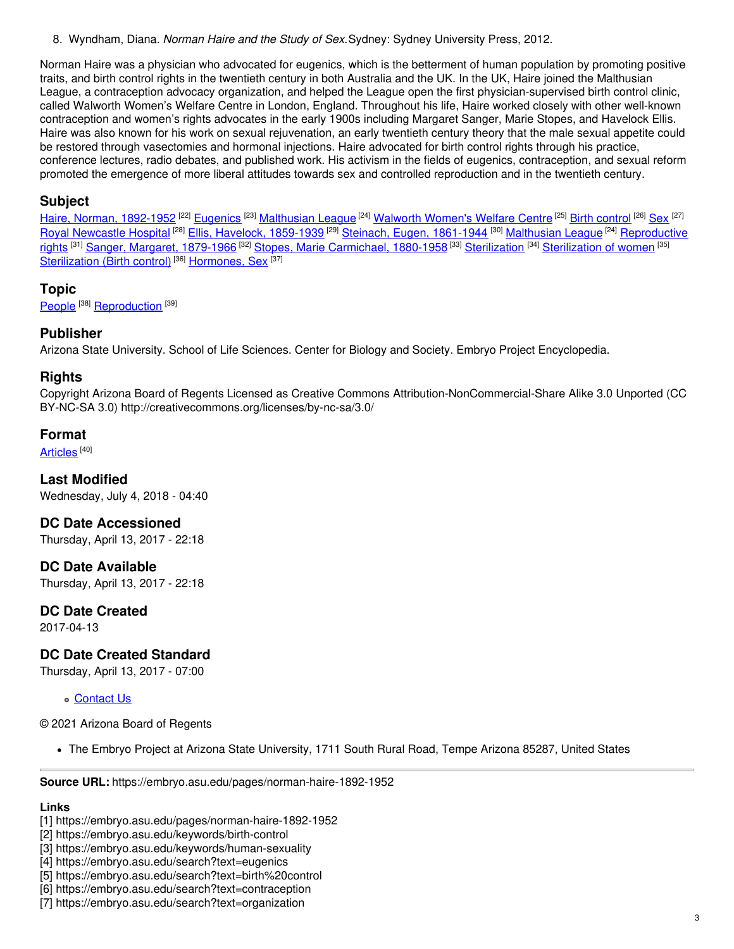8. Wyndham, Diana. *Norman Haire and the Study of Sex.*Sydney: Sydney University Press, 2012.

Norman Haire was a physician who advocated for eugenics, which is the betterment of human population by promoting positive traits, and birth control rights in the twentieth century in both Australia and the UK. In the UK, Haire joined the Malthusian League, a contraception advocacy organization, and helped the League open the first physician-supervised birth control clinic, called Walworth Women's Welfare Centre in London, England. Throughout his life, Haire worked closely with other well-known contraception and women's rights advocates in the early 1900s including Margaret Sanger, Marie Stopes, and Havelock Ellis. Haire was also known for his work on sexual rejuvenation, an early twentieth century theory that the male sexual appetite could be restored through vasectomies and hormonal injections. Haire advocated for birth control rights through his practice, conference lectures, radio debates, and published work. His activism in the fields of eugenics, contraception, and sexual reform promoted the emergence of more liberal attitudes towards sex and controlled reproduction and in the twentieth century.

### **Subject**

Haire, Norman, [1892-1952](https://embryo.asu.edu/library-congress-subject-headings/haire-norman-1892-1952) <sup>[22]</sup> [Eugenics](https://embryo.asu.edu/library-congress-subject-headings/eugenics-0) <sup>[23]</sup> [Malthusian](https://embryo.asu.edu/library-congress-subject-headings/malthusian-league) League <sup>[24]</sup> [Walworth](https://embryo.asu.edu/library-congress-subject-headings/walworth-womens-welfare-centre) Women's Welfare Centre <sup>[25]</sup> Birth [control](https://embryo.asu.edu/library-congress-subject-headings/birth-control) <sup>[26]</sup> [Sex](https://embryo.asu.edu/library-congress-subject-headings/sex) <sup>[27]</sup> Royal [Newcastle](https://embryo.asu.edu/library-congress-subject-headings/royal-newcastle-hospital) Hospital <sup>[28]</sup> Ellis, Havelock, [1859-1939](https://embryo.asu.edu/library-congress-subject-headings/ellis-havelock-1859-1939) <sup>[29]</sup> Steinach, Eugen, [1861-1944](https://embryo.asu.edu/library-congress-subject-headings/steinach-eugen-1861-1944) <sup>[30]</sup> [Malthusian](https://embryo.asu.edu/library-congress-subject-headings/malthusian-league) League <sup>[24]</sup> [Reproductive](https://embryo.asu.edu/library-congress-subject-headings/reproductive-rights) <u>rights [31] Sanger, Margaret, [1879-1966](https://embryo.asu.edu/library-congress-subject-headings/sanger-margaret-1879-1966) [32] Stopes, Marie [Carmichael,](https://embryo.asu.edu/library-congress-subject-headings/stopes-marie-carmichael-1880-1958) 1880-1958</u> [33] <u>[Sterilization](https://embryo.asu.edu/library-congress-subject-headings/sterilization-women) <sup>[34]</sup> Sterilization of women [35]</u> [Sterilization](https://embryo.asu.edu/library-congress-subject-headings/sterilization-birth-control) (Birth control)<sup>[36]</sup> [Hormones,](https://embryo.asu.edu/library-congress-subject-headings/hormones-sex) Sex<sup>[37]</sup>

### **Topic**

[People](https://embryo.asu.edu/topics/people)<sup>[38]</sup> [Reproduction](https://embryo.asu.edu/topics/reproduction)<sup>[39]</sup>

#### **Publisher**

Arizona State University. School of Life Sciences. Center for Biology and Society. Embryo Project Encyclopedia.

#### **Rights**

Copyright Arizona Board of Regents Licensed as Creative Commons Attribution-NonCommercial-Share Alike 3.0 Unported (CC BY-NC-SA 3.0) http://creativecommons.org/licenses/by-nc-sa/3.0/

#### **Format**

<u>[Articles](https://embryo.asu.edu/formats/articles)</u> [40]

**Last Modified** Wednesday, July 4, 2018 - 04:40

**DC Date Accessioned**

Thursday, April 13, 2017 - 22:18

**DC Date Available** Thursday, April 13, 2017 - 22:18

#### **DC Date Created**

2017-04-13

### **DC Date Created Standard**

Thursday, April 13, 2017 - 07:00

[Contact](https://embryo.asu.edu/contact) Us

© 2021 Arizona Board of Regents

The Embryo Project at Arizona State University, 1711 South Rural Road, Tempe Arizona 85287, United States

**Source URL:** https://embryo.asu.edu/pages/norman-haire-1892-1952

#### **Links**

- [1] https://embryo.asu.edu/pages/norman-haire-1892-1952
- [2] https://embryo.asu.edu/keywords/birth-control
- [3] https://embryo.asu.edu/keywords/human-sexuality
- [4] https://embryo.asu.edu/search?text=eugenics
- [5] https://embryo.asu.edu/search?text=birth%20control
- [6] https://embryo.asu.edu/search?text=contraception
- [7] https://embryo.asu.edu/search?text=organization